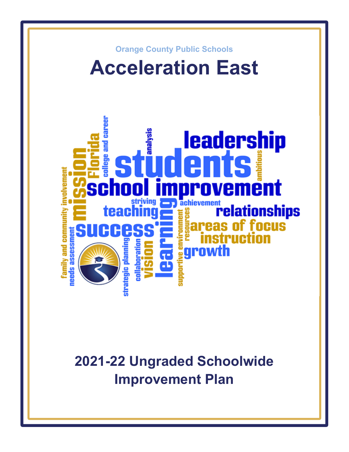

**2021-22 Ungraded Schoolwide Improvement Plan**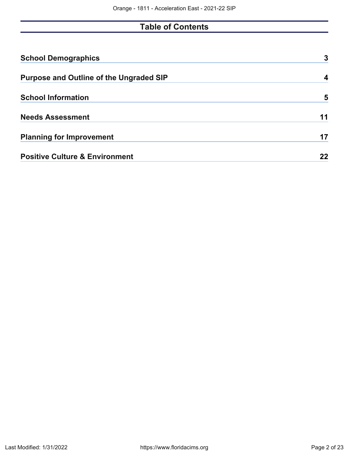# **Table of Contents**

| <b>School Demographics</b>                     | 3  |
|------------------------------------------------|----|
| <b>Purpose and Outline of the Ungraded SIP</b> |    |
| <b>School Information</b>                      | 5  |
| <b>Needs Assessment</b>                        | 11 |
| <b>Planning for Improvement</b>                | 17 |
| <b>Positive Culture &amp; Environment</b>      | 22 |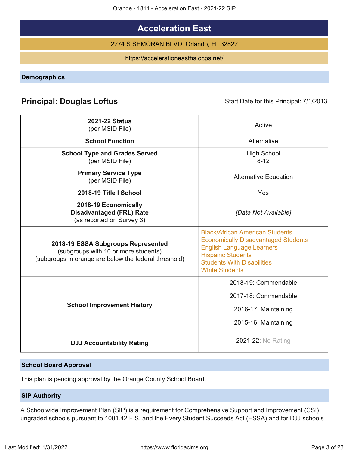Orange - 1811 - Acceleration East - 2021-22 SIP

# **Acceleration East**

2274 S SEMORAN BLVD, Orlando, FL 32822

https://accelerationeasths.ocps.net/

<span id="page-2-0"></span>**Demographics**

# **Principal: Douglas Loftus** Start Date for this Principal: 7/1/2013

| <b>2021-22 Status</b><br>(per MSID File)                                                                                            | Active                                                                                                                                                                                                             |
|-------------------------------------------------------------------------------------------------------------------------------------|--------------------------------------------------------------------------------------------------------------------------------------------------------------------------------------------------------------------|
| <b>School Function</b>                                                                                                              | Alternative                                                                                                                                                                                                        |
| <b>School Type and Grades Served</b><br>(per MSID File)                                                                             | <b>High School</b><br>$8 - 12$                                                                                                                                                                                     |
| <b>Primary Service Type</b><br>(per MSID File)                                                                                      | <b>Alternative Education</b>                                                                                                                                                                                       |
| 2018-19 Title I School                                                                                                              | Yes                                                                                                                                                                                                                |
| 2018-19 Economically<br><b>Disadvantaged (FRL) Rate</b><br>(as reported on Survey 3)                                                | [Data Not Available]                                                                                                                                                                                               |
| 2018-19 ESSA Subgroups Represented<br>(subgroups with 10 or more students)<br>(subgroups in orange are below the federal threshold) | <b>Black/African American Students</b><br><b>Economically Disadvantaged Students</b><br><b>English Language Learners</b><br><b>Hispanic Students</b><br><b>Students With Disabilities</b><br><b>White Students</b> |
| <b>School Improvement History</b>                                                                                                   | 2018-19: Commendable<br>2017-18: Commendable<br>2016-17: Maintaining<br>2015-16: Maintaining                                                                                                                       |
| <b>DJJ Accountability Rating</b>                                                                                                    | 2021-22: No Rating                                                                                                                                                                                                 |

# **School Board Approval**

This plan is pending approval by the Orange County School Board.

## **SIP Authority**

A Schoolwide Improvement Plan (SIP) is a requirement for Comprehensive Support and Improvement (CSI) ungraded schools pursuant to 1001.42 F.S. and the Every Student Succeeds Act (ESSA) and for DJJ schools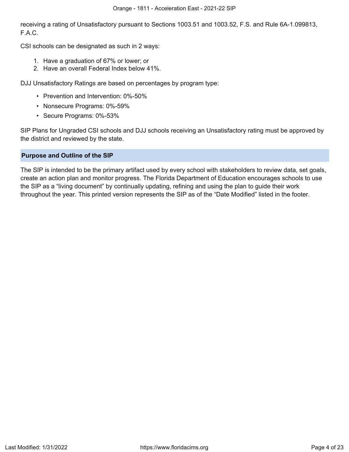receiving a rating of Unsatisfactory pursuant to Sections 1003.51 and 1003.52, F.S. and Rule 6A-1.099813, F.A.C.

CSI schools can be designated as such in 2 ways:

- 1. Have a graduation of 67% or lower; or
- 2. Have an overall Federal Index below 41%.

DJJ Unsatisfactory Ratings are based on percentages by program type:

- Prevention and Intervention: 0%-50%
- Nonsecure Programs: 0%-59%
- Secure Programs: 0%-53%

SIP Plans for Ungraded CSI schools and DJJ schools receiving an Unsatisfactory rating must be approved by the district and reviewed by the state.

### <span id="page-3-0"></span>**Purpose and Outline of the SIP**

The SIP is intended to be the primary artifact used by every school with stakeholders to review data, set goals, create an action plan and monitor progress. The Florida Department of Education encourages schools to use the SIP as a "living document" by continually updating, refining and using the plan to guide their work throughout the year. This printed version represents the SIP as of the "Date Modified" listed in the footer.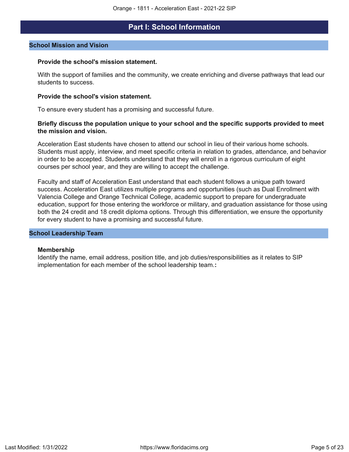# **Part I: School Information**

#### <span id="page-4-0"></span>**School Mission and Vision**

#### **Provide the school's mission statement.**

With the support of families and the community, we create enriching and diverse pathways that lead our students to success.

#### **Provide the school's vision statement.**

To ensure every student has a promising and successful future.

#### **Briefly discuss the population unique to your school and the specific supports provided to meet the mission and vision.**

Acceleration East students have chosen to attend our school in lieu of their various home schools. Students must apply, interview, and meet specific criteria in relation to grades, attendance, and behavior in order to be accepted. Students understand that they will enroll in a rigorous curriculum of eight courses per school year, and they are willing to accept the challenge.

Faculty and staff of Acceleration East understand that each student follows a unique path toward success. Acceleration East utilizes multiple programs and opportunities (such as Dual Enrollment with Valencia College and Orange Technical College, academic support to prepare for undergraduate education, support for those entering the workforce or military, and graduation assistance for those using both the 24 credit and 18 credit diploma options. Through this differentiation, we ensure the opportunity for every student to have a promising and successful future.

#### **School Leadership Team**

#### **Membership**

Identify the name, email address, position title, and job duties/responsibilities as it relates to SIP implementation for each member of the school leadership team.**:**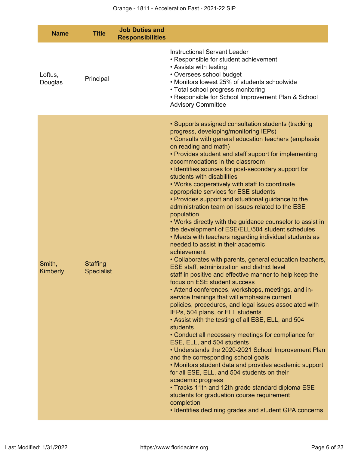| <b>Name</b>        | <b>Title</b>                         | <b>Job Duties and</b><br><b>Responsibilities</b> |                                                                                                                                                                                                                                                                                                                                                                                                                                                                                                                                                                                                                                                                                                                                                                                                                                                                                                                                                                                                                                                                                                                                                                                                                                                                                                                                                                                                                                                                                                                                                                                                                                                                                                                                                                                          |
|--------------------|--------------------------------------|--------------------------------------------------|------------------------------------------------------------------------------------------------------------------------------------------------------------------------------------------------------------------------------------------------------------------------------------------------------------------------------------------------------------------------------------------------------------------------------------------------------------------------------------------------------------------------------------------------------------------------------------------------------------------------------------------------------------------------------------------------------------------------------------------------------------------------------------------------------------------------------------------------------------------------------------------------------------------------------------------------------------------------------------------------------------------------------------------------------------------------------------------------------------------------------------------------------------------------------------------------------------------------------------------------------------------------------------------------------------------------------------------------------------------------------------------------------------------------------------------------------------------------------------------------------------------------------------------------------------------------------------------------------------------------------------------------------------------------------------------------------------------------------------------------------------------------------------------|
| Loftus,<br>Douglas | Principal                            |                                                  | <b>Instructional Servant Leader</b><br>• Responsible for student achievement<br>• Assists with testing<br>• Oversees school budget<br>• Monitors lowest 25% of students schoolwide<br>• Total school progress monitoring<br>• Responsible for School Improvement Plan & School<br><b>Advisory Committee</b>                                                                                                                                                                                                                                                                                                                                                                                                                                                                                                                                                                                                                                                                                                                                                                                                                                                                                                                                                                                                                                                                                                                                                                                                                                                                                                                                                                                                                                                                              |
| Smith,<br>Kimberly | <b>Staffing</b><br><b>Specialist</b> |                                                  | • Supports assigned consultation students (tracking<br>progress, developing/monitoring IEPs)<br>• Consults with general education teachers (emphasis<br>on reading and math)<br>• Provides student and staff support for implementing<br>accommodations in the classroom<br>• Identifies sources for post-secondary support for<br>students with disabilities<br>. Works cooperatively with staff to coordinate<br>appropriate services for ESE students<br>• Provides support and situational guidance to the<br>administration team on issues related to the ESE<br>population<br>• Works directly with the guidance counselor to assist in<br>the development of ESE/ELL/504 student schedules<br>. Meets with teachers regarding individual students as<br>needed to assist in their academic<br>achievement<br>• Collaborates with parents, general education teachers,<br>ESE staff, administration and district level<br>staff in positive and effective manner to help keep the<br>focus on ESE student success<br>• Attend conferences, workshops, meetings, and in-<br>service trainings that will emphasize current<br>policies, procedures, and legal issues associated with<br>IEPs, 504 plans, or ELL students<br>• Assist with the testing of all ESE, ELL, and 504<br>students<br>• Conduct all necessary meetings for compliance for<br>ESE, ELL, and 504 students<br>• Understands the 2020-2021 School Improvement Plan<br>and the corresponding school goals<br>• Monitors student data and provides academic support<br>for all ESE, ELL, and 504 students on their<br>academic progress<br>• Tracks 11th and 12th grade standard diploma ESE<br>students for graduation course requirement<br>completion<br>• Identifies declining grades and student GPA concerns |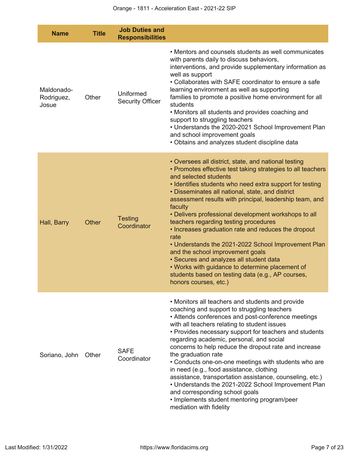| <b>Name</b>                       | <b>Title</b> | <b>Job Duties and</b><br><b>Responsibilities</b> |                                                                                                                                                                                                                                                                                                                                                                                                                                                                                                                                                                                                                                                                                                                                                                           |
|-----------------------------------|--------------|--------------------------------------------------|---------------------------------------------------------------------------------------------------------------------------------------------------------------------------------------------------------------------------------------------------------------------------------------------------------------------------------------------------------------------------------------------------------------------------------------------------------------------------------------------------------------------------------------------------------------------------------------------------------------------------------------------------------------------------------------------------------------------------------------------------------------------------|
| Maldonado-<br>Rodriguez,<br>Josue | Other        | Uniformed<br><b>Security Officer</b>             | • Mentors and counsels students as well communicates<br>with parents daily to discuss behaviors,<br>interventions, and provide supplementary information as<br>well as support<br>• Collaborates with SAFE coordinator to ensure a safe<br>learning environment as well as supporting<br>families to promote a positive home environment for all<br>students<br>• Monitors all students and provides coaching and<br>support to struggling teachers<br>• Understands the 2020-2021 School Improvement Plan<br>and school improvement goals<br>• Obtains and analyzes student discipline data                                                                                                                                                                              |
| Hall, Barry                       | <b>Other</b> | <b>Testing</b><br>Coordinator                    | • Oversees all district, state, and national testing<br>• Promotes effective test taking strategies to all teachers<br>and selected students<br>• Identifies students who need extra support for testing<br>• Disseminates all national, state, and district<br>assessment results with principal, leadership team, and<br>faculty<br>• Delivers professional development workshops to all<br>teachers regarding testing procedures<br>• Increases graduation rate and reduces the dropout<br>rate<br>• Understands the 2021-2022 School Improvement Plan<br>and the school improvement goals<br>· Secures and analyzes all student data<br>• Works with guidance to determine placement of<br>students based on testing data (e.g., AP courses,<br>honors courses, etc.) |
| Soriano, John                     | Other        | <b>SAFE</b><br>Coordinator                       | • Monitors all teachers and students and provide<br>coaching and support to struggling teachers<br>• Attends conferences and post-conference meetings<br>with all teachers relating to student issues<br>• Provides necessary support for teachers and students<br>regarding academic, personal, and social<br>concerns to help reduce the dropout rate and increase<br>the graduation rate<br>• Conducts one-on-one meetings with students who are<br>in need (e.g., food assistance, clothing<br>assistance, transportation assistance, counseling, etc.)<br>• Understands the 2021-2022 School Improvement Plan<br>and corresponding school goals<br>• Implements student mentoring program/peer<br>mediation with fidelity                                            |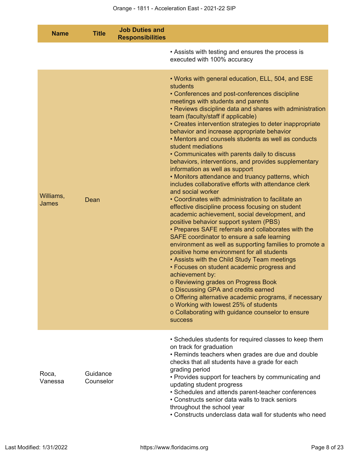| <b>Name</b>        | <b>Title</b>          | <b>Job Duties and</b><br><b>Responsibilities</b> |                                                                                                                                                                                                                                                                                                                                                                                                                                                                                                                                                                                                                                                                                                                                                                                                                                                                                                                                                                                                                                                                                                                                                                                                                                                                                                                                                                                                                                                                                                                       |
|--------------------|-----------------------|--------------------------------------------------|-----------------------------------------------------------------------------------------------------------------------------------------------------------------------------------------------------------------------------------------------------------------------------------------------------------------------------------------------------------------------------------------------------------------------------------------------------------------------------------------------------------------------------------------------------------------------------------------------------------------------------------------------------------------------------------------------------------------------------------------------------------------------------------------------------------------------------------------------------------------------------------------------------------------------------------------------------------------------------------------------------------------------------------------------------------------------------------------------------------------------------------------------------------------------------------------------------------------------------------------------------------------------------------------------------------------------------------------------------------------------------------------------------------------------------------------------------------------------------------------------------------------------|
|                    |                       |                                                  | • Assists with testing and ensures the process is<br>executed with 100% accuracy                                                                                                                                                                                                                                                                                                                                                                                                                                                                                                                                                                                                                                                                                                                                                                                                                                                                                                                                                                                                                                                                                                                                                                                                                                                                                                                                                                                                                                      |
| Williams,<br>James | Dean                  |                                                  | . Works with general education, ELL, 504, and ESE<br>students<br>• Conferences and post-conferences discipline<br>meetings with students and parents<br>• Reviews discipline data and shares with administration<br>team (faculty/staff if applicable)<br>• Creates intervention strategies to deter inappropriate<br>behavior and increase appropriate behavior<br>• Mentors and counsels students as well as conducts<br>student mediations<br>• Communicates with parents daily to discuss<br>behaviors, interventions, and provides supplementary<br>information as well as support<br>• Monitors attendance and truancy patterns, which<br>includes collaborative efforts with attendance clerk<br>and social worker<br>• Coordinates with administration to facilitate an<br>effective discipline process focusing on student<br>academic achievement, social development, and<br>positive behavior support system (PBS)<br>• Prepares SAFE referrals and collaborates with the<br>SAFE coordinator to ensure a safe learning<br>environment as well as supporting families to promote a<br>positive home environment for all students<br>• Assists with the Child Study Team meetings<br>• Focuses on student academic progress and<br>achievement by:<br>o Reviewing grades on Progress Book<br>o Discussing GPA and credits earned<br>o Offering alternative academic programs, if necessary<br>o Working with lowest 25% of students<br>o Collaborating with guidance counselor to ensure<br><b>SUCCESS</b> |
| Roca,<br>Vanessa   | Guidance<br>Counselor |                                                  | • Schedules students for required classes to keep them<br>on track for graduation<br>• Reminds teachers when grades are due and double<br>checks that all students have a grade for each<br>grading period<br>• Provides support for teachers by communicating and<br>updating student progress<br>• Schedules and attends parent-teacher conferences<br>• Constructs senior data walls to track seniors<br>throughout the school year<br>• Constructs underclass data wall for students who need                                                                                                                                                                                                                                                                                                                                                                                                                                                                                                                                                                                                                                                                                                                                                                                                                                                                                                                                                                                                                     |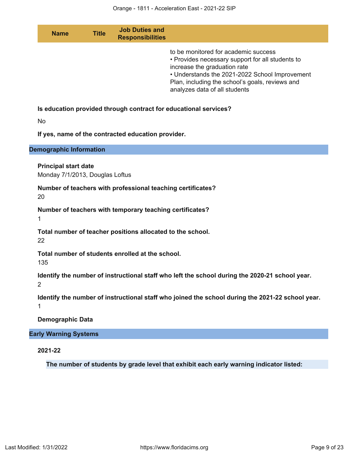| <b>Name</b>                                                    | <b>Title</b> | <b>Job Duties and</b><br><b>Responsibilities</b>            |                                                                                                                                                                                                                                                                |
|----------------------------------------------------------------|--------------|-------------------------------------------------------------|----------------------------------------------------------------------------------------------------------------------------------------------------------------------------------------------------------------------------------------------------------------|
|                                                                |              |                                                             | to be monitored for academic success<br>• Provides necessary support for all students to<br>increase the graduation rate<br>• Understands the 2021-2022 School Improvement<br>Plan, including the school's goals, reviews and<br>analyzes data of all students |
|                                                                |              |                                                             | Is education provided through contract for educational services?                                                                                                                                                                                               |
| <b>No</b>                                                      |              |                                                             |                                                                                                                                                                                                                                                                |
|                                                                |              | If yes, name of the contracted education provider.          |                                                                                                                                                                                                                                                                |
| <b>Demographic Information</b>                                 |              |                                                             |                                                                                                                                                                                                                                                                |
| <b>Principal start date</b><br>Monday 7/1/2013, Douglas Loftus |              |                                                             |                                                                                                                                                                                                                                                                |
| 20                                                             |              | Number of teachers with professional teaching certificates? |                                                                                                                                                                                                                                                                |
| 1                                                              |              | Number of teachers with temporary teaching certificates?    |                                                                                                                                                                                                                                                                |
| 22                                                             |              | Total number of teacher positions allocated to the school.  |                                                                                                                                                                                                                                                                |
| 135                                                            |              | Total number of students enrolled at the school.            |                                                                                                                                                                                                                                                                |
| 2                                                              |              |                                                             | Identify the number of instructional staff who left the school during the 2020-21 school year.                                                                                                                                                                 |
| 1                                                              |              |                                                             | Identify the number of instructional staff who joined the school during the 2021-22 school year.                                                                                                                                                               |
| <b>Demographic Data</b>                                        |              |                                                             |                                                                                                                                                                                                                                                                |
| <b>Early Warning Systems</b>                                   |              |                                                             |                                                                                                                                                                                                                                                                |
| 2021-22                                                        |              |                                                             |                                                                                                                                                                                                                                                                |
|                                                                |              |                                                             | The number of students by grade level that exhibit each early warning indicator listed:                                                                                                                                                                        |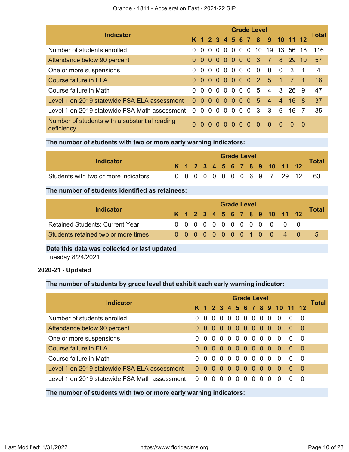|                                                             | <b>Grade Level</b> |          |          |          |          |          |                |          |                          |                |                              |                |                |                |
|-------------------------------------------------------------|--------------------|----------|----------|----------|----------|----------|----------------|----------|--------------------------|----------------|------------------------------|----------------|----------------|----------------|
| <b>Indicator</b>                                            |                    |          |          |          |          |          |                |          |                          |                | K 1 2 3 4 5 6 7 8 9 10 11 12 |                |                | <b>Total</b>   |
| Number of students enrolled                                 | 0                  | $\Omega$ | $\Omega$ | $\Omega$ |          |          |                |          |                          |                | 0 0 0 0 10 19 13 56 18       |                |                | -116           |
| Attendance below 90 percent                                 | $\Omega$           | 0 O      |          |          |          |          |                |          | 000003                   | $\overline{7}$ | 8                            | -29            | $-10$          | 57             |
| One or more suspensions                                     | 0                  |          |          |          |          |          | 0000000        |          | $\overline{\phantom{0}}$ | $\Omega$       | $\overline{0}$               | - 3            | $\overline{1}$ | $\overline{4}$ |
| Course failure in ELA                                       | 0                  |          |          |          |          |          |                |          |                          | 0000000251     |                              | $\overline{7}$ |                | 16             |
| Course failure in Math                                      | 0                  |          |          |          |          |          |                |          | 00000005                 | $\overline{4}$ |                              | 3 26 9         |                | 47             |
| Level 1 on 2019 statewide FSA ELA assessment                | $\Omega$           |          |          |          |          |          |                |          | 00000005                 | $\overline{4}$ | $\overline{4}$               | $16 \quad 8$   |                | 37             |
| Level 1 on 2019 statewide FSA Math assessment               | $\Omega$           | $\Omega$ | $\Omega$ | $\Omega$ | $\Omega$ | $\Omega$ | $\Omega$       | $\Omega$ | - 3                      | 3              | 6                            | 16             | - 7            | 35             |
| Number of students with a substantial reading<br>deficiency | 0                  | $\Omega$ | $\Omega$ | $\Omega$ | $\Omega$ | $\Omega$ | 0 <sub>0</sub> |          | $\Omega$                 | $\Omega$       | $\Omega$                     | $\Omega$       | - 0            |                |

**The number of students with two or more early warning indicators:**

| Indicator                            |  | <b>Grade Level</b> |  |  |  |  |  |  |  |  |  |                              |  |              |  |
|--------------------------------------|--|--------------------|--|--|--|--|--|--|--|--|--|------------------------------|--|--------------|--|
|                                      |  |                    |  |  |  |  |  |  |  |  |  | K 1 2 3 4 5 6 7 8 9 10 11 12 |  | <b>Total</b> |  |
| Students with two or more indicators |  |                    |  |  |  |  |  |  |  |  |  | 0 0 0 0 0 0 0 0 6 9 7 29 12  |  | -63          |  |

# **The number of students identified as retainees:**

|                                        |  | <b>Grade Level</b> |  |  |  |  |  |  |  |  |  |                              |  |              |  |  |
|----------------------------------------|--|--------------------|--|--|--|--|--|--|--|--|--|------------------------------|--|--------------|--|--|
| Indicator                              |  |                    |  |  |  |  |  |  |  |  |  | K 1 2 3 4 5 6 7 8 9 10 11 12 |  | <b>Total</b> |  |  |
| <b>Retained Students: Current Year</b> |  |                    |  |  |  |  |  |  |  |  |  | 0 0 0 0 0 0 0 0 0 0 0 0 0    |  |              |  |  |
| Students retained two or more times    |  |                    |  |  |  |  |  |  |  |  |  | 00000000100 4 0              |  | $5 -$        |  |  |

**Date this data was collected or last updated**

Tuesday 8/24/2021

# **2020-21 - Updated**

# **The number of students by grade level that exhibit each early warning indicator:**

| <b>Indicator</b>                                                 | <b>Grade Level</b> |                |          |          |                     |          |     |  |     |            |                                     |                |          | Total |
|------------------------------------------------------------------|--------------------|----------------|----------|----------|---------------------|----------|-----|--|-----|------------|-------------------------------------|----------------|----------|-------|
|                                                                  |                    |                |          |          |                     |          |     |  |     |            | K 1 2 3 4 5 6 7 8 9 10 11 12        |                |          |       |
| Number of students enrolled                                      |                    | $\Omega$       | $\Omega$ | $\Omega$ |                     |          |     |  |     |            | - 0                                 | - 0            | - 0      |       |
| Attendance below 90 percent                                      |                    | 0 <sub>0</sub> |          |          |                     |          |     |  |     | 00000000   | $0\quad 0\quad 0$                   |                |          |       |
| One or more suspensions                                          |                    |                |          |          | 0 0 0 0 0 0 0 0 0 0 |          |     |  |     |            | $\overline{0}$                      | - 0            | - 0      |       |
| Course failure in ELA                                            |                    |                |          |          |                     |          |     |  |     | 0000000000 | - 0                                 | $\overline{0}$ | $\Box$ 0 |       |
| Course failure in Math                                           |                    |                |          |          | 000000000           |          |     |  |     |            | - 0                                 | - 0            | - 0      |       |
| Level 1 on 2019 statewide FSA ELA assessment                     | 0 <sub>0</sub>     |                | - 0      |          | $00000000$          |          |     |  |     |            | $\begin{matrix} 0 & 0 \end{matrix}$ |                | - 0      |       |
| Level 1 on 2019 statewide FSA Math assessment $\qquad 0 \quad 0$ |                    |                | - 0      |          | $\Omega$            | $\Omega$ | 0 O |  | 0 O |            | $\Omega$                            |                | -0       |       |

**The number of students with two or more early warning indicators:**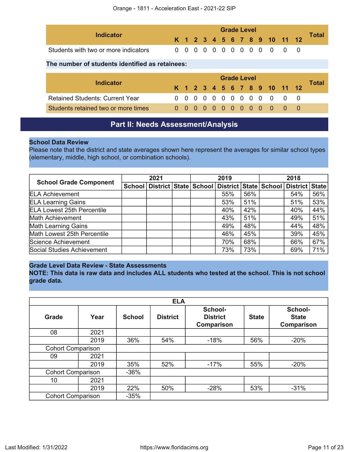| Indicator                            |  | <b>Grade Level</b> |  |  |  |  |  |  |  |  |  |                              |  |       |  |
|--------------------------------------|--|--------------------|--|--|--|--|--|--|--|--|--|------------------------------|--|-------|--|
|                                      |  |                    |  |  |  |  |  |  |  |  |  | K 1 2 3 4 5 6 7 8 9 10 11 12 |  | Total |  |
| Students with two or more indicators |  |                    |  |  |  |  |  |  |  |  |  | 0 0 0 0 0 0 0 0 0 0 0 0 0    |  |       |  |

# **The number of students identified as retainees:**

| Indicator                              |  |  |  | <b>Grade Level</b> |  |  |                              | Total |
|----------------------------------------|--|--|--|--------------------|--|--|------------------------------|-------|
|                                        |  |  |  |                    |  |  | K 1 2 3 4 5 6 7 8 9 10 11 12 |       |
| <b>Retained Students: Current Year</b> |  |  |  |                    |  |  | 0 0 0 0 0 0 0 0 0 0 0 0 0    |       |
| Students retained two or more times    |  |  |  |                    |  |  | 0000000000000                |       |

# **Part II: Needs Assessment/Analysis**

## <span id="page-10-0"></span>**School Data Review**

Please note that the district and state averages shown here represent the averages for similar school types (elementary, middle, high school, or combination schools).

| <b>School Grade Component</b>     | 2021 |  |  | 2019 |                                                                                   |     | 2018 |     |     |
|-----------------------------------|------|--|--|------|-----------------------------------------------------------------------------------|-----|------|-----|-----|
|                                   |      |  |  |      | School   District   State   School   District   State   School   District   State |     |      |     |     |
| <b>ELA Achievement</b>            |      |  |  |      | 55%                                                                               | 56% |      | 54% | 56% |
| <b>ELA Learning Gains</b>         |      |  |  |      | 53%                                                                               | 51% |      | 51% | 53% |
| <b>ELA Lowest 25th Percentile</b> |      |  |  |      | 40%                                                                               | 42% |      | 40% | 44% |
| Math Achievement                  |      |  |  |      | 43%                                                                               | 51% |      | 49% | 51% |
| <b>Math Learning Gains</b>        |      |  |  |      | 49%                                                                               | 48% |      | 44% | 48% |
| Math Lowest 25th Percentile       |      |  |  |      | 46%                                                                               | 45% |      | 39% | 45% |
| Science Achievement               |      |  |  |      | 70%                                                                               | 68% |      | 66% | 67% |
| Social Studies Achievement        |      |  |  |      | 73%                                                                               | 73% |      | 69% | 71% |

# **Grade Level Data Review - State Assessments**

**NOTE: This data is raw data and includes ALL students who tested at the school. This is not school grade data.**

|                          |                          |               | <b>ELA</b>      |                                          |              |                                       |
|--------------------------|--------------------------|---------------|-----------------|------------------------------------------|--------------|---------------------------------------|
| <b>Grade</b>             | Year                     | <b>School</b> | <b>District</b> | School-<br><b>District</b><br>Comparison | <b>State</b> | School-<br><b>State</b><br>Comparison |
| 08                       | 2021                     |               |                 |                                          |              |                                       |
|                          | 2019                     | 36%           | 54%             | $-18%$                                   | 56%          | $-20%$                                |
| <b>Cohort Comparison</b> |                          |               |                 |                                          |              |                                       |
| 09                       | 2021                     |               |                 |                                          |              |                                       |
|                          | 2019                     | 35%           | 52%             | $-17%$                                   | 55%          | $-20%$                                |
| <b>Cohort Comparison</b> |                          | $-36%$        |                 |                                          |              |                                       |
| 10                       | 2021                     |               |                 |                                          |              |                                       |
|                          | 2019                     | 22%           | 50%             | $-28%$                                   | 53%          | $-31%$                                |
|                          | <b>Cohort Comparison</b> |               |                 |                                          |              |                                       |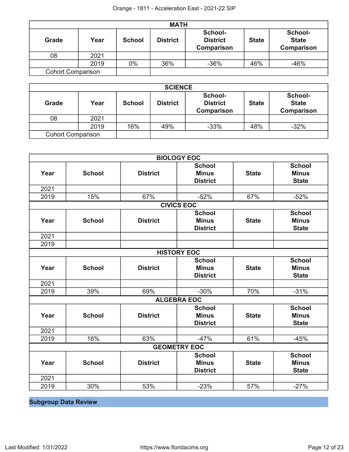|                          |      |               | <b>MATH</b>     |                                                 |              |                                       |
|--------------------------|------|---------------|-----------------|-------------------------------------------------|--------------|---------------------------------------|
| <b>Grade</b>             | Year | <b>School</b> | <b>District</b> | School-<br><b>District</b><br><b>Comparison</b> | <b>State</b> | School-<br><b>State</b><br>Comparison |
| 08                       | 2021 |               |                 |                                                 |              |                                       |
|                          | 2019 | $0\%$         | 36%             | $-36%$                                          | 46%          | $-46%$                                |
| <b>Cohort Comparison</b> |      |               |                 |                                                 |              |                                       |

|                          | <b>SCIENCE</b> |               |                 |                                                 |              |                                              |  |
|--------------------------|----------------|---------------|-----------------|-------------------------------------------------|--------------|----------------------------------------------|--|
| <b>Grade</b>             | Year           | <b>School</b> | <b>District</b> | School-<br><b>District</b><br><b>Comparison</b> | <b>State</b> | School-<br><b>State</b><br><b>Comparison</b> |  |
| 08                       | 2021           |               |                 |                                                 |              |                                              |  |
|                          | 2019           | 16%           | 49%             | $-33%$                                          | 48%          | $-32%$                                       |  |
| <b>Cohort Comparison</b> |                |               |                 |                                                 |              |                                              |  |

| <b>BIOLOGY EOC</b> |               |                 |                                                  |              |                                               |  |
|--------------------|---------------|-----------------|--------------------------------------------------|--------------|-----------------------------------------------|--|
| Year               | <b>School</b> | <b>District</b> | <b>School</b><br><b>Minus</b><br><b>District</b> | <b>State</b> | <b>School</b><br><b>Minus</b><br><b>State</b> |  |
| 2021               |               |                 |                                                  |              |                                               |  |
| 2019               | 15%           | 67%             | $-52%$                                           | 67%          | $-52%$                                        |  |
|                    |               |                 | <b>CIVICS EOC</b>                                |              |                                               |  |
| Year               | <b>School</b> | <b>District</b> | <b>School</b><br><b>Minus</b><br><b>District</b> | <b>State</b> | <b>School</b><br><b>Minus</b><br><b>State</b> |  |
| 2021               |               |                 |                                                  |              |                                               |  |
| 2019               |               |                 |                                                  |              |                                               |  |
| <b>HISTORY EOC</b> |               |                 |                                                  |              |                                               |  |
| Year               | <b>School</b> | <b>District</b> | <b>School</b><br><b>Minus</b><br><b>District</b> | <b>State</b> | <b>School</b><br><b>Minus</b><br><b>State</b> |  |
| 2021               |               |                 |                                                  |              |                                               |  |
| 2019               | 39%           | 69%             | $-30%$                                           | 70%          | $-31%$                                        |  |
|                    |               |                 | <b>ALGEBRA EOC</b>                               |              |                                               |  |
| Year               | <b>School</b> | <b>District</b> | <b>School</b><br><b>Minus</b><br><b>District</b> | <b>State</b> | <b>School</b><br><b>Minus</b><br><b>State</b> |  |
| 2021               |               |                 |                                                  |              |                                               |  |
| 2019               | 16%           | 63%             | $-47%$                                           | 61%          | $-45%$                                        |  |
|                    |               |                 | <b>GEOMETRY EOC</b>                              |              |                                               |  |
| Year               | <b>School</b> | <b>District</b> | <b>School</b><br><b>Minus</b><br><b>District</b> | <b>State</b> | <b>School</b><br><b>Minus</b><br><b>State</b> |  |
| 2021               |               |                 |                                                  |              |                                               |  |
| 2019               | 30%           | 53%             | $-23%$                                           | 57%          | $-27%$                                        |  |

**Subgroup Data Review**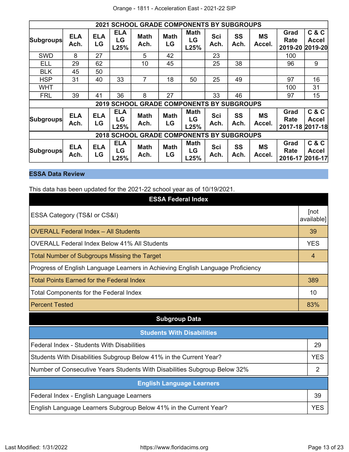|                                                  | <b>2021 SCHOOL GRADE COMPONENTS BY SUBGROUPS</b> |                  |                          |                                                  |                   |                           |             |                   |                     |                                 |                           |
|--------------------------------------------------|--------------------------------------------------|------------------|--------------------------|--------------------------------------------------|-------------------|---------------------------|-------------|-------------------|---------------------|---------------------------------|---------------------------|
| <b>Subgroups</b>                                 | <b>ELA</b><br>Ach.                               | <b>ELA</b><br>LG | <b>ELA</b><br>LG<br>L25% | <b>Math</b><br>Ach.                              | <b>Math</b><br>LG | <b>Math</b><br>LG<br>L25% | Sci<br>Ach. | <b>SS</b><br>Ach. | <b>MS</b><br>Accel. | Grad<br>Rate<br>2019-20         | C & C<br>Accel<br>2019-20 |
| <b>SWD</b>                                       | 8                                                | 27               |                          | 5                                                | 42                |                           | 23          |                   |                     | 100                             |                           |
| ELL                                              | 29                                               | 62               |                          | 10                                               | 45                |                           | 25          | 38                |                     | 96                              | 9                         |
| <b>BLK</b>                                       | 45                                               | 50               |                          |                                                  |                   |                           |             |                   |                     |                                 |                           |
| <b>HSP</b>                                       | 31                                               | 40               | 33                       | 7                                                | 18                | 50                        | 25          | 49                |                     | 97                              | 16                        |
| <b>WHT</b>                                       |                                                  |                  |                          |                                                  |                   |                           |             |                   |                     | 100                             | 31                        |
| <b>FRL</b>                                       | 39                                               | 41               | 36                       | 8                                                | 27                |                           | 33          | 46                |                     | 97                              | 15                        |
|                                                  |                                                  |                  |                          | <b>2019 SCHOOL GRADE COMPONENTS BY SUBGROUPS</b> |                   |                           |             |                   |                     |                                 |                           |
| <b>Subgroups</b>                                 | <b>ELA</b><br>Ach.                               | <b>ELA</b><br>LG | <b>ELA</b><br>LG<br>L25% | <b>Math</b><br>Ach.                              | <b>Math</b><br>LG | <b>Math</b><br>LG<br>L25% | Sci<br>Ach. | <b>SS</b><br>Ach. | <b>MS</b><br>Accel. | Grad<br>Rate<br>2017-18 2017-18 | C & C<br>Accel            |
| <b>2018 SCHOOL GRADE COMPONENTS BY SUBGROUPS</b> |                                                  |                  |                          |                                                  |                   |                           |             |                   |                     |                                 |                           |
| <b>Subgroups</b>                                 | <b>ELA</b><br>Ach.                               | <b>ELA</b><br>LG | <b>ELA</b><br>LG<br>L25% | <b>Math</b><br>Ach.                              | <b>Math</b><br>LG | <b>Math</b><br>LG<br>L25% | Sci<br>Ach. | <b>SS</b><br>Ach. | ΜS<br>Accel.        | Grad<br>Rate<br>2016-17         | C & C<br>Accel<br>2016-17 |

# **ESSA Data Review**

This data has been updated for the 2021-22 school year as of 10/19/2021.

| <b>ESSA Federal Index</b>                                                       |                    |
|---------------------------------------------------------------------------------|--------------------|
| ESSA Category (TS&I or CS&I)                                                    | [not<br>available] |
| <b>OVERALL Federal Index - All Students</b>                                     | 39                 |
| <b>OVERALL Federal Index Below 41% All Students</b>                             | <b>YES</b>         |
| <b>Total Number of Subgroups Missing the Target</b>                             | $\overline{4}$     |
| Progress of English Language Learners in Achieving English Language Proficiency |                    |
| <b>Total Points Earned for the Federal Index</b>                                | 389                |
| Total Components for the Federal Index                                          | 10                 |
| <b>Percent Tested</b>                                                           | 83%                |
| <b>Subgroup Data</b>                                                            |                    |
| <b>Students With Disabilities</b>                                               |                    |
| Federal Index - Students With Disabilities                                      | 29                 |
| Students With Disabilities Subgroup Below 41% in the Current Year?              | <b>YES</b>         |
| Number of Consecutive Years Students With Disabilities Subgroup Below 32%       | 2                  |
| <b>English Language Learners</b>                                                |                    |
| Federal Index - English Language Learners                                       | 39                 |
| English Language Learners Subgroup Below 41% in the Current Year?               | <b>YES</b>         |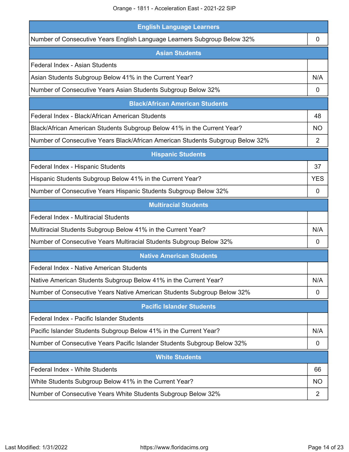| <b>English Language Learners</b>                                               |                |
|--------------------------------------------------------------------------------|----------------|
| Number of Consecutive Years English Language Learners Subgroup Below 32%       | 0              |
| <b>Asian Students</b>                                                          |                |
| Federal Index - Asian Students                                                 |                |
| Asian Students Subgroup Below 41% in the Current Year?                         | N/A            |
| Number of Consecutive Years Asian Students Subgroup Below 32%                  | 0              |
| <b>Black/African American Students</b>                                         |                |
| Federal Index - Black/African American Students                                | 48             |
| Black/African American Students Subgroup Below 41% in the Current Year?        | <b>NO</b>      |
| Number of Consecutive Years Black/African American Students Subgroup Below 32% | $\overline{2}$ |
| <b>Hispanic Students</b>                                                       |                |
| Federal Index - Hispanic Students                                              | 37             |
| Hispanic Students Subgroup Below 41% in the Current Year?                      | <b>YES</b>     |
| Number of Consecutive Years Hispanic Students Subgroup Below 32%               | 0              |
| <b>Multiracial Students</b>                                                    |                |
| <b>Federal Index - Multiracial Students</b>                                    |                |
| Multiracial Students Subgroup Below 41% in the Current Year?                   | N/A            |
| Number of Consecutive Years Multiracial Students Subgroup Below 32%            | 0              |
| <b>Native American Students</b>                                                |                |
| Federal Index - Native American Students                                       |                |
| Native American Students Subgroup Below 41% in the Current Year?               | N/A            |
| Number of Consecutive Years Native American Students Subgroup Below 32%        | 0              |
| <b>Pacific Islander Students</b>                                               |                |
| Federal Index - Pacific Islander Students                                      |                |
| Pacific Islander Students Subgroup Below 41% in the Current Year?              | N/A            |
| Number of Consecutive Years Pacific Islander Students Subgroup Below 32%       | 0              |
| <b>White Students</b>                                                          |                |
| Federal Index - White Students                                                 | 66             |
| White Students Subgroup Below 41% in the Current Year?                         | <b>NO</b>      |
| Number of Consecutive Years White Students Subgroup Below 32%                  | 2              |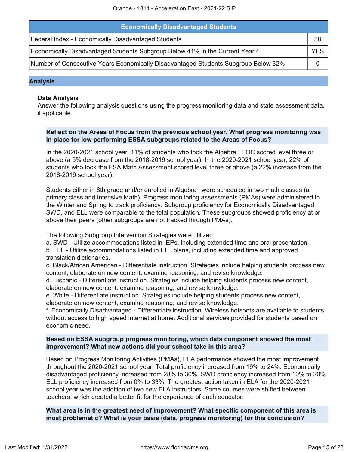| <b>Economically Disadvantaged Students</b>                                         |     |
|------------------------------------------------------------------------------------|-----|
| Federal Index - Economically Disadvantaged Students                                | 38  |
| Economically Disadvantaged Students Subgroup Below 41% in the Current Year?        | YES |
| Number of Consecutive Years Economically Disadvantaged Students Subgroup Below 32% |     |

#### **Analysis**

#### **Data Analysis**

Answer the following analysis questions using the progress monitoring data and state assessment data, if applicable.

#### **Reflect on the Areas of Focus from the previous school year. What progress monitoring was in place for low performing ESSA subgroups related to the Areas of Focus?**

In the 2020-2021 school year, 11% of students who took the Algebra I EOC scored level three or above (a 5% decrease from the 2018-2019 school year). In the 2020-2021 school year, 22% of students who took the FSA Math Assessment scored level three or above (a 22% increase from the 2018-2019 school year).

Students either in 8th grade and/or enrolled in Algebra I were scheduled in two math classes (a primary class and Intensive Math). Progress monitoring assessments (PMAs) were administered in the Winter and Spring to track proficiency. Subgroup proficiency for Economically Disadvantaged, SWD, and ELL were comparable to the total population. These subgroups showed proficiency at or above their peers (other subgroups are not tracked through PMAs).

The following Subgroup Intervention Strategies were utilized:

a. SWD - Utilize accommodations listed in IEPs, including extended time and oral presentation.

b. ELL - Utilize accommodations listed in ELL plans, including extended time and approved translation dictionaries.

c. Black/African American - Differentiate instruction. Strategies include helping students process new content, elaborate on new content, examine reasoning, and revise knowledge.

d. Hispanic - Differentiate instruction. Strategies include helping students process new content, elaborate on new content, examine reasoning, and revise knowledge.

e. White - Differentiate instruction. Strategies include helping students process new content, elaborate on new content, examine reasoning, and revise knowledge.

f. Economically Disadvantaged - Differentiate instruction. Wireless hotspots are available to students without access to high speed internet at home. Additional services provided for students based on economic need.

### **Based on ESSA subgroup progress monitoring, which data component showed the most improvement? What new actions did your school take in this area?**

Based on Progress Monitoring Activities (PMAs), ELA performance showed the most improvement throughout the 2020-2021 school year. Total proficiency increased from 19% to 24%. Economically disadvantaged proficiency increased from 28% to 30%. SWD proficiency increased from 10% to 20%. ELL proficiency increased from 0% to 33%. The greatest action taken in ELA for the 2020-2021 school year was the addition of two new ELA instructors. Some courses were shifted between teachers, which created a better fit for the experience of each educator.

**What area is in the greatest need of improvement? What specific component of this area is most problematic? What is your basis (data, progress monitoring) for this conclusion?**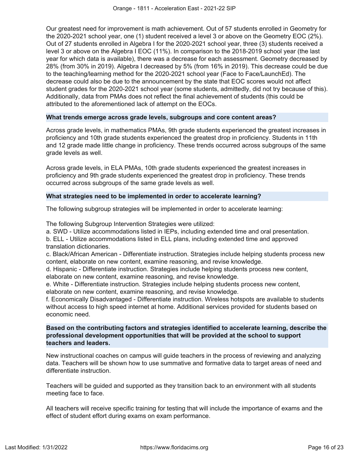Our greatest need for improvement is math achievement. Out of 57 students enrolled in Geometry for the 2020-2021 school year, one (1) student received a level 3 or above on the Geometry EOC (2%). Out of 27 students enrolled in Algebra I for the 2020-2021 school year, three (3) students received a level 3 or above on the Algebra I EOC (11%). In comparison to the 2018-2019 school year (the last year for which data is available), there was a decrease for each assessment. Geometry decreased by 28% (from 30% in 2019). Algebra I decreased by 5% (from 16% in 2019). This decrease could be due to the teaching/learning method for the 2020-2021 school year (Face to Face/LaunchEd). The decrease could also be due to the announcement by the state that EOC scores would not affect student grades for the 2020-2021 school year (some students, admittedly, did not try because of this). Additionally, data from PMAs does not reflect the final achievement of students (this could be attributed to the aforementioned lack of attempt on the EOCs.

### **What trends emerge across grade levels, subgroups and core content areas?**

Across grade levels, in mathematics PMAs, 9th grade students experienced the greatest increases in proficiency and 10th grade students experienced the greatest drop in proficiency. Students in 11th and 12 grade made little change in proficiency. These trends occurred across subgroups of the same grade levels as well.

Across grade levels, in ELA PMAs, 10th grade students experienced the greatest increases in proficiency and 9th grade students experienced the greatest drop in proficiency. These trends occurred across subgroups of the same grade levels as well.

### **What strategies need to be implemented in order to accelerate learning?**

The following subgroup strategies will be implemented in order to accelerate learning:

The following Subgroup Intervention Strategies were utilized:

a. SWD - Utilize accommodations listed in IEPs, including extended time and oral presentation.

b. ELL - Utilize accommodations listed in ELL plans, including extended time and approved translation dictionaries.

c. Black/African American - Differentiate instruction. Strategies include helping students process new content, elaborate on new content, examine reasoning, and revise knowledge.

d. Hispanic - Differentiate instruction. Strategies include helping students process new content, elaborate on new content, examine reasoning, and revise knowledge.

e. White - Differentiate instruction. Strategies include helping students process new content, elaborate on new content, examine reasoning, and revise knowledge.

f. Economically Disadvantaged - Differentiate instruction. Wireless hotspots are available to students without access to high speed internet at home. Additional services provided for students based on economic need.

# **Based on the contributing factors and strategies identified to accelerate learning, describe the professional development opportunities that will be provided at the school to support teachers and leaders.**

New instructional coaches on campus will guide teachers in the process of reviewing and analyzing data. Teachers will be shown how to use summative and formative data to target areas of need and differentiate instruction.

Teachers will be guided and supported as they transition back to an environment with all students meeting face to face.

All teachers will receive specific training for testing that will include the importance of exams and the effect of student effort during exams on exam performance.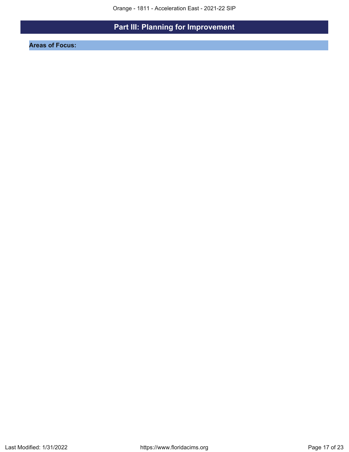# **Part III: Planning for Improvement**

<span id="page-16-0"></span>**Areas of Focus:**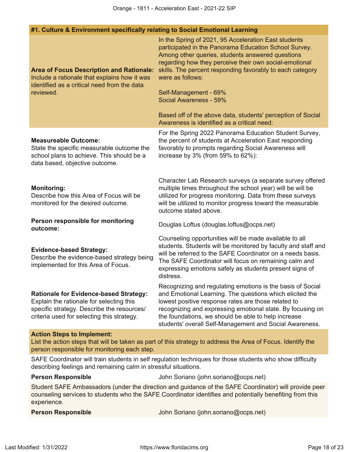|                                                                                                                                                                                                   | #1. Culture & Environment specifically relating to Social Emotional Learning                                                                                                                                                                                                                                                                                                                                                                                                  |  |  |  |
|---------------------------------------------------------------------------------------------------------------------------------------------------------------------------------------------------|-------------------------------------------------------------------------------------------------------------------------------------------------------------------------------------------------------------------------------------------------------------------------------------------------------------------------------------------------------------------------------------------------------------------------------------------------------------------------------|--|--|--|
| <b>Area of Focus Description and Rationale:</b><br>Include a rationale that explains how it was<br>identified as a critical need from the data<br>reviewed.                                       | In the Spring of 2021, 95 Acceleration East students<br>participated in the Panorama Education School Survey.<br>Among other queries, students answered questions<br>regarding how they perceive their own social-emotional<br>skills. The percent responding favorably to each category<br>were as follows:<br>Self-Management - 69%<br>Social Awareness - 59%<br>Based off of the above data, students' perception of Social<br>Awareness is identified as a critical need: |  |  |  |
| <b>Measureable Outcome:</b><br>State the specific measurable outcome the<br>school plans to achieve. This should be a<br>data based, objective outcome.                                           | For the Spring 2022 Panorama Education Student Survey,<br>the percent of students at Acceleration East responding<br>favorably to prompts regarding Social Awareness will<br>increase by 3% (from 59% to 62%):                                                                                                                                                                                                                                                                |  |  |  |
| <b>Monitoring:</b><br>Describe how this Area of Focus will be<br>monitored for the desired outcome.                                                                                               | Character Lab Research surveys (a separate survey offered<br>multiple times throughout the school year) will be will be<br>utilized for progress monitoring. Data from these surveys<br>will be utilized to monitor progress toward the measurable<br>outcome stated above.                                                                                                                                                                                                   |  |  |  |
| Person responsible for monitoring<br>outcome:                                                                                                                                                     | Douglas Loftus (douglas.loftus@ocps.net)                                                                                                                                                                                                                                                                                                                                                                                                                                      |  |  |  |
| <b>Evidence-based Strategy:</b><br>Describe the evidence-based strategy being<br>implemented for this Area of Focus.                                                                              | Counseling opportunities will be made available to all<br>students. Students will be monitored by faculty and staff and<br>will be referred to the SAFE Coordinator on a needs basis.<br>The SAFE Coordinator will focus on remaining calm and<br>expressing emotions safely as students present signs of<br>distress.                                                                                                                                                        |  |  |  |
| <b>Rationale for Evidence-based Strategy:</b><br>Explain the rationale for selecting this<br>specific strategy. Describe the resources/<br>criteria used for selecting this strategy.             | Recognizing and regulating emotions is the basis of Social<br>and Emotional Learning. The questions which elicited the<br>lowest positive response rates are those related to<br>recognizing and expressing emotional state. By focusing on<br>the foundations, we should be able to help increase<br>students' overall Self-Management and Social Awareness.                                                                                                                 |  |  |  |
| <b>Action Steps to Implement:</b><br>List the action steps that will be taken as part of this strategy to address the Area of Focus. Identify the<br>person responsible for monitoring each step. |                                                                                                                                                                                                                                                                                                                                                                                                                                                                               |  |  |  |
| describing feelings and remaining calm in stressful situations.                                                                                                                                   | SAFE Coordinator will train students in self regulation techniques for those students who show difficulty                                                                                                                                                                                                                                                                                                                                                                     |  |  |  |
| <b>Person Responsible</b>                                                                                                                                                                         | John Soriano (john.soriano@ocps.net)                                                                                                                                                                                                                                                                                                                                                                                                                                          |  |  |  |
|                                                                                                                                                                                                   | Chident CAEE Amperoaders (under the direction and quidence of the CAEE Coordinated) will provide                                                                                                                                                                                                                                                                                                                                                                              |  |  |  |

Student SAFE Ambassadors (under the direction and guidance of the SAFE Coordinator) will provide peer counseling services to students who the SAFE Coordinator identifies and potentially benefiting from this experience.

**Person Responsible** John Soriano (john.soriano@ocps.net)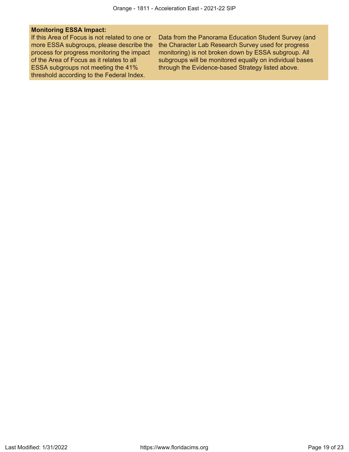#### **Monitoring ESSA Impact:**

If this Area of Focus is not related to one or more ESSA subgroups, please describe the process for progress monitoring the impact of the Area of Focus as it relates to all ESSA subgroups not meeting the 41% threshold according to the Federal Index.

Data from the Panorama Education Student Survey (and the Character Lab Research Survey used for progress monitoring) is not broken down by ESSA subgroup. All subgroups will be monitored equally on individual bases through the Evidence-based Strategy listed above.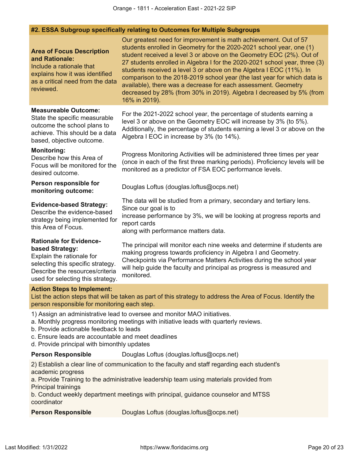## **#2. ESSA Subgroup specifically relating to Outcomes for Multiple Subgroups**

| <b>Area of Focus Description</b><br>and Rationale:<br>Include a rationale that<br>explains how it was identified<br>as a critical need from the data<br>reviewed.                           | Our greatest need for improvement is math achievement. Out of 57<br>students enrolled in Geometry for the 2020-2021 school year, one (1)<br>student received a level 3 or above on the Geometry EOC (2%). Out of<br>27 students enrolled in Algebra I for the 2020-2021 school year, three (3)<br>students received a level 3 or above on the Algebra I EOC (11%). In<br>comparison to the 2018-2019 school year (the last year for which data is<br>available), there was a decrease for each assessment. Geometry<br>decreased by 28% (from 30% in 2019). Algebra I decreased by 5% (from<br>16% in 2019). |
|---------------------------------------------------------------------------------------------------------------------------------------------------------------------------------------------|--------------------------------------------------------------------------------------------------------------------------------------------------------------------------------------------------------------------------------------------------------------------------------------------------------------------------------------------------------------------------------------------------------------------------------------------------------------------------------------------------------------------------------------------------------------------------------------------------------------|
| <b>Measureable Outcome:</b><br>State the specific measurable<br>outcome the school plans to<br>achieve. This should be a data<br>based, objective outcome.                                  | For the 2021-2022 school year, the percentage of students earning a<br>level 3 or above on the Geometry EOC will increase by 3% (to 5%).<br>Additionally, the percentage of students earning a level 3 or above on the<br>Algebra I EOC in increase by 3% (to 14%).                                                                                                                                                                                                                                                                                                                                          |
| <b>Monitoring:</b><br>Describe how this Area of<br>Focus will be monitored for the<br>desired outcome.                                                                                      | Progress Monitoring Activities will be administered three times per year<br>(once in each of the first three marking periods). Proficiency levels will be<br>monitored as a predictor of FSA EOC performance levels.                                                                                                                                                                                                                                                                                                                                                                                         |
| Person responsible for<br>monitoring outcome:                                                                                                                                               | Douglas Loftus (douglas.loftus@ocps.net)                                                                                                                                                                                                                                                                                                                                                                                                                                                                                                                                                                     |
| <b>Evidence-based Strategy:</b><br>Describe the evidence-based<br>strategy being implemented for<br>this Area of Focus.                                                                     | The data will be studied from a primary, secondary and tertiary lens.<br>Since our goal is to<br>increase performance by 3%, we will be looking at progress reports and<br>report cards<br>along with performance matters data.                                                                                                                                                                                                                                                                                                                                                                              |
| <b>Rationale for Evidence-</b><br>based Strategy:<br>Explain the rationale for<br>selecting this specific strategy.<br>Describe the resources/criteria<br>used for selecting this strategy. | The principal will monitor each nine weeks and determine if students are<br>making progress towards proficiency in Algebra I and Geometry.<br>Checkpoints via Performance Matters Activities during the school year<br>will help guide the faculty and principal as progress is measured and<br>monitored.                                                                                                                                                                                                                                                                                                   |
| <b>Action Steps to Implement:</b>                                                                                                                                                           | List the action steps that will be taken as part of this strategy to address the Area of Focus. Identify the                                                                                                                                                                                                                                                                                                                                                                                                                                                                                                 |

person responsible for monitoring each step.

1) Assign an administrative lead to oversee and monitor MAO initiatives.

- a. Monthly progress monitoring meetings with initiative leads with quarterly reviews.
- b. Provide actionable feedback to leads
- c. Ensure leads are accountable and meet deadlines
- d. Provide principal with bimonthly updates

**Person Responsible** Douglas Loftus (douglas.loftus@ocps.net)

2) Establish a clear line of communication to the faculty and staff regarding each student's academic progress

a. Provide Training to the administrative leadership team using materials provided from Principal trainings

b. Conduct weekly department meetings with principal, guidance counselor and MTSS coordinator

**Person Responsible** Douglas Loftus (douglas.loftus@ocps.net)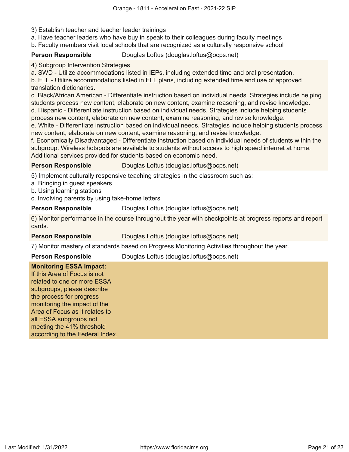- 3) Establish teacher and teacher leader trainings
- a. Have teacher leaders who have buy in speak to their colleagues during faculty meetings
- b. Faculty members visit local schools that are recognized as a culturally responsive school

**Person Responsible** Douglas Loftus (douglas.loftus@ocps.net)

4) Subgroup Intervention Strategies

a. SWD - Utilize accommodations listed in IEPs, including extended time and oral presentation.

b. ELL - Utilize accommodations listed in ELL plans, including extended time and use of approved translation dictionaries.

c. Black/African American - Differentiate instruction based on individual needs. Strategies include helping students process new content, elaborate on new content, examine reasoning, and revise knowledge. d. Hispanic - Differentiate instruction based on individual needs. Strategies include helping students process new content, elaborate on new content, examine reasoning, and revise knowledge.

e. White - Differentiate instruction based on individual needs. Strategies include helping students process new content, elaborate on new content, examine reasoning, and revise knowledge.

f. Economically Disadvantaged - Differentiate instruction based on individual needs of students within the subgroup. Wireless hotspots are available to students without access to high speed internet at home. Additional services provided for students based on economic need.

**Person Responsible** Douglas Loftus (douglas.loftus@ocps.net)

5) Implement culturally responsive teaching strategies in the classroom such as:

- a. Bringing in guest speakers
- b. Using learning stations
- c. Involving parents by using take-home letters

**Person Responsible** Douglas Loftus (douglas.loftus@ocps.net)

6) Monitor performance in the course throughout the year with checkpoints at progress reports and report cards.

**Person Responsible** Douglas Loftus (douglas.loftus@ocps.net)

7) Monitor mastery of standards based on Progress Monitoring Activities throughout the year.

**Person Responsible** Douglas Loftus (douglas.loftus@ocps.net)

# **Monitoring ESSA Impact:**

If this Area of Focus is not related to one or more ESSA subgroups, please describe the process for progress monitoring the impact of the Area of Focus as it relates to all ESSA subgroups not meeting the 41% threshold according to the Federal Index.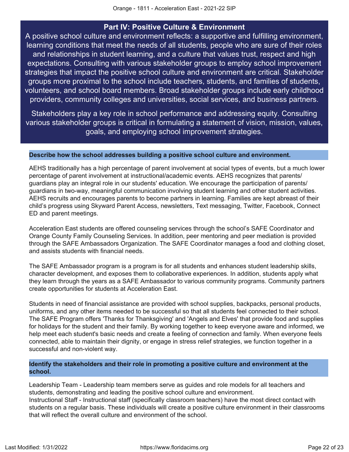# **Part IV: Positive Culture & Environment**

<span id="page-21-0"></span>A positive school culture and environment reflects: a supportive and fulfilling environment, learning conditions that meet the needs of all students, people who are sure of their roles and relationships in student learning, and a culture that values trust, respect and high expectations. Consulting with various stakeholder groups to employ school improvement strategies that impact the positive school culture and environment are critical. Stakeholder groups more proximal to the school include teachers, students, and families of students, volunteers, and school board members. Broad stakeholder groups include early childhood providers, community colleges and universities, social services, and business partners.

Stakeholders play a key role in school performance and addressing equity. Consulting various stakeholder groups is critical in formulating a statement of vision, mission, values, goals, and employing school improvement strategies.

#### **Describe how the school addresses building a positive school culture and environment.**

AEHS traditionally has a high percentage of parent involvement at social types of events, but a much lower percentage of parent involvement at instructional/academic events. AEHS recognizes that parents/ guardians play an integral role in our students' education. We encourage the participation of parents/ guardians in two-way, meaningful communication involving student learning and other student activities. AEHS recruits and encourages parents to become partners in learning. Families are kept abreast of their child's progress using Skyward Parent Access, newsletters, Text messaging, Twitter, Facebook, Connect ED and parent meetings.

Acceleration East students are offered counseling services through the school's SAFE Coordinator and Orange County Family Counseling Services. In addition, peer mentoring and peer mediation is provided through the SAFE Ambassadors Organization. The SAFE Coordinator manages a food and clothing closet, and assists students with financial needs.

The SAFE Ambassador program is a program is for all students and enhances student leadership skills, character development, and exposes them to collaborative experiences. In addition, students apply what they learn through the years as a SAFE Ambassador to various community programs. Community partners create opportunities for students at Acceleration East.

Students in need of financial assistance are provided with school supplies, backpacks, personal products, uniforms, and any other items needed to be successful so that all students feel connected to their school. The SAFE Program offers 'Thanks for Thanksgiving' and 'Angels and Elves' that provide food and supplies for holidays for the student and their family. By working together to keep everyone aware and informed, we help meet each student's basic needs and create a feeling of connection and family. When everyone feels connected, able to maintain their dignity, or engage in stress relief strategies, we function together in a successful and non-violent way.

## **Identify the stakeholders and their role in promoting a positive culture and environment at the school.**

Leadership Team - Leadership team members serve as guides and role models for all teachers and students, demonstrating and leading the positive school culture and environment. Instructional Staff - Instructional staff (specifically classroom teachers) have the most direct contact with students on a regular basis. These individuals will create a positive culture environment in their classrooms that will reflect the overall culture and environment of the school.